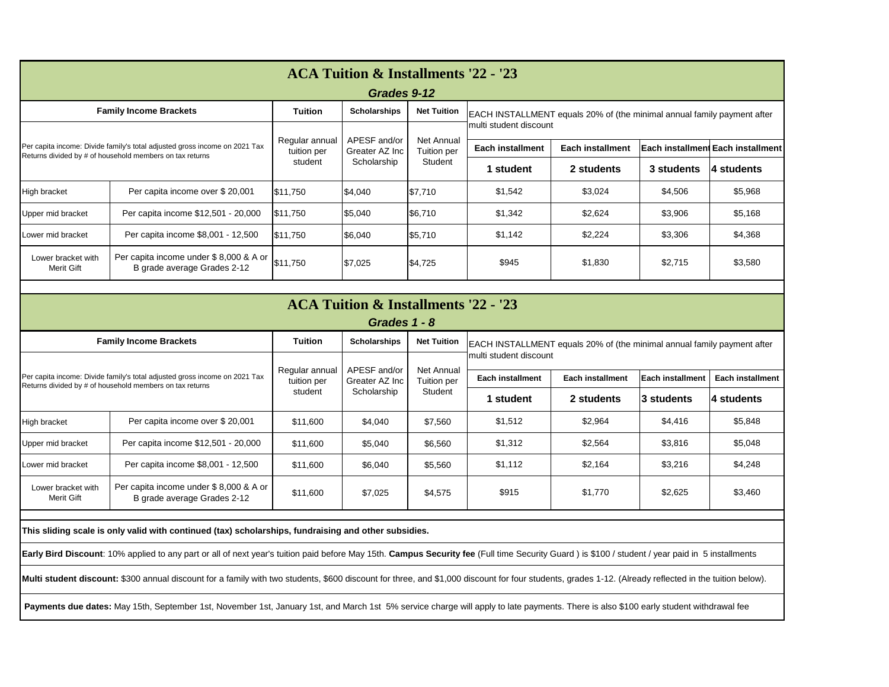| <b>ACA Tuition &amp; Installments '22 - '23</b>                                                                                        |                                                                       |                                          |                                               |                                             |                                                                                                    |            |                         |                         |  |  |
|----------------------------------------------------------------------------------------------------------------------------------------|-----------------------------------------------------------------------|------------------------------------------|-----------------------------------------------|---------------------------------------------|----------------------------------------------------------------------------------------------------|------------|-------------------------|-------------------------|--|--|
| Grades 1 - 8                                                                                                                           |                                                                       |                                          |                                               |                                             |                                                                                                    |            |                         |                         |  |  |
| <b>Family Income Brackets</b>                                                                                                          |                                                                       | <b>Tuition</b>                           | <b>Scholarships</b>                           | <b>Net Tuition</b>                          | EACH INSTALLMENT equals 20% of (the minimal annual family payment after<br>Imulti student discount |            |                         |                         |  |  |
| Per capita income: Divide family's total adjusted gross income on 2021 Tax<br>Returns divided by # of household members on tax returns |                                                                       | Regular annual<br>tuition per<br>student | APESF and/or<br>Greater AZ Inc<br>Scholarship | <b>Net Annual</b><br>Tuition per<br>Student |                                                                                                    |            |                         |                         |  |  |
|                                                                                                                                        |                                                                       |                                          |                                               |                                             | <b>Each installment</b><br><b>Each installment</b>                                                 |            | <b>Each installment</b> | <b>Each installment</b> |  |  |
|                                                                                                                                        |                                                                       |                                          |                                               |                                             | ∣ student                                                                                          | 2 students | <b>3 students</b>       | 4 students              |  |  |
| High bracket                                                                                                                           | Per capita income over \$20,001                                       | \$11,600                                 | \$4,040                                       | \$7,560                                     | \$1,512                                                                                            | \$2,964    | \$4,416                 | \$5,848                 |  |  |
| Upper mid bracket                                                                                                                      | Per capita income \$12,501 - 20,000                                   | \$11,600                                 | \$5,040                                       | \$6,560                                     | \$1,312                                                                                            | \$2,564    | \$3,816                 | \$5,048                 |  |  |
| Lower mid bracket                                                                                                                      | Per capita income \$8,001 - 12,500                                    | \$11,600                                 | \$6,040                                       | \$5,560                                     | \$1,112                                                                                            | \$2,164    | \$3,216                 | \$4,248                 |  |  |
| Lower bracket with<br><b>Merit Gift</b>                                                                                                | Per capita income under \$8,000 & A or<br>B grade average Grades 2-12 | \$11,600                                 | \$7,025                                       | \$4,575                                     | \$915                                                                                              | \$1,770    | \$2,625                 | \$3,460                 |  |  |

**This sliding scale is only valid with continued (tax) scholarships, fundraising and other subsidies.**

**Early Bird Discount**: 10% applied to any part or all of next year's tuition paid before May 15th. **Campus Security fee** (Full time Security Guard ) is \$100 / student / year paid in 5 installments

Multi student discount: \$300 annual discount for a family with two students, \$600 discount for three, and \$1,000 discount for four students, grades 1-12. (Already reflected in the tuition below).

Payments due dates: May 15th, September 1st, November 1st, January 1st, and March 1st 5% service charge will apply to late payments. There is also \$100 early student withdrawal fee

| <b>Tuition</b><br><b>Family Income Brackets</b><br><b>Net Tuition</b><br><b>Scholarships</b><br>EACH INSTALLMENT equals 20% of (the minimal annual family payment after<br>multi student discount<br>APESF and/or<br><b>Net Annual</b><br>Regular annual<br>Per capita income: Divide family's total adjusted gross income on 2021 Tax<br><b>Each installment Each installment</b><br><b>Each installment</b><br><b>Each installment</b><br>tuition per<br>Tuition per<br>Greater AZ Inc<br>Returns divided by # of household members on tax returns<br>Scholarship<br>Student<br>student<br>2 students<br>4 students<br>1 student<br>3 students<br>\$1,542<br>\$3,024<br>\$4,506<br>\$5,968<br>Per capita income over \$20,001<br> \$11,750<br>\$7,710<br><b>High bracket</b><br> \$4,040<br>Per capita income \$12,501 - 20,000<br>\$6,710<br>\$1,342<br>\$2,624<br>\$3,906<br>\$5,168<br>\$11,750<br>\$5,040<br>Upper mid bracket<br>\$1,142<br>\$2,224<br>\$4,368<br>\$3,306<br>Per capita income \$8,001 - 12,500<br>\$11,750<br>\$6,040<br>\$5,710<br>Lower mid bracket | <b>ACA Tuition &amp; Installments '22 - '23</b><br>Grades 9-12 |                                        |          |         |         |       |         |         |         |  |  |
|-------------------------------------------------------------------------------------------------------------------------------------------------------------------------------------------------------------------------------------------------------------------------------------------------------------------------------------------------------------------------------------------------------------------------------------------------------------------------------------------------------------------------------------------------------------------------------------------------------------------------------------------------------------------------------------------------------------------------------------------------------------------------------------------------------------------------------------------------------------------------------------------------------------------------------------------------------------------------------------------------------------------------------------------------------------------------------|----------------------------------------------------------------|----------------------------------------|----------|---------|---------|-------|---------|---------|---------|--|--|
|                                                                                                                                                                                                                                                                                                                                                                                                                                                                                                                                                                                                                                                                                                                                                                                                                                                                                                                                                                                                                                                                               |                                                                |                                        |          |         |         |       |         |         |         |  |  |
|                                                                                                                                                                                                                                                                                                                                                                                                                                                                                                                                                                                                                                                                                                                                                                                                                                                                                                                                                                                                                                                                               |                                                                |                                        |          |         |         |       |         |         |         |  |  |
|                                                                                                                                                                                                                                                                                                                                                                                                                                                                                                                                                                                                                                                                                                                                                                                                                                                                                                                                                                                                                                                                               |                                                                |                                        |          |         |         |       |         |         |         |  |  |
|                                                                                                                                                                                                                                                                                                                                                                                                                                                                                                                                                                                                                                                                                                                                                                                                                                                                                                                                                                                                                                                                               |                                                                |                                        |          |         |         |       |         |         |         |  |  |
|                                                                                                                                                                                                                                                                                                                                                                                                                                                                                                                                                                                                                                                                                                                                                                                                                                                                                                                                                                                                                                                                               |                                                                |                                        |          |         |         |       |         |         |         |  |  |
|                                                                                                                                                                                                                                                                                                                                                                                                                                                                                                                                                                                                                                                                                                                                                                                                                                                                                                                                                                                                                                                                               |                                                                |                                        |          |         |         |       |         |         |         |  |  |
|                                                                                                                                                                                                                                                                                                                                                                                                                                                                                                                                                                                                                                                                                                                                                                                                                                                                                                                                                                                                                                                                               |                                                                |                                        |          |         |         |       |         |         |         |  |  |
| B grade average Grades 2-12<br>Merit Gift                                                                                                                                                                                                                                                                                                                                                                                                                                                                                                                                                                                                                                                                                                                                                                                                                                                                                                                                                                                                                                     | Lower bracket with                                             | Per capita income under \$8,000 & A or | \$11,750 | \$7,025 | \$4,725 | \$945 | \$1,830 | \$2,715 | \$3,580 |  |  |